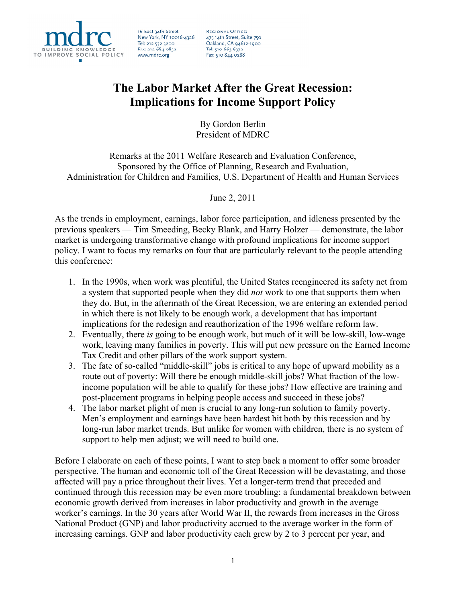

16 East 34th Street New York, NY 10016-4326 Tel: 212 532 3200 Fax: 212 684 0832 www.mdrc.org

**REGIONAL OFFICE:** 475 14th Street, Suite 750<br>Oakland, CA 94612-1900 Tel: 510 663 6372 Fax: 510 844 0288

# **The Labor Market After the Great Recession: Implications for Income Support Policy**

By Gordon Berlin President of MDRC

Remarks at the 2011 Welfare Research and Evaluation Conference, Sponsored by the Office of Planning, Research and Evaluation, Administration for Children and Families, U.S. Department of Health and Human Services

## June 2, 2011

As the trends in employment, earnings, labor force participation, and idleness presented by the previous speakers — Tim Smeeding, Becky Blank, and Harry Holzer — demonstrate, the labor market is undergoing transformative change with profound implications for income support policy. I want to focus my remarks on four that are particularly relevant to the people attending this conference:

- 1. In the 1990s, when work was plentiful, the United States reengineered its safety net from a system that supported people when they did *not* work to one that supports them when they do. But, in the aftermath of the Great Recession, we are entering an extended period in which there is not likely to be enough work, a development that has important implications for the redesign and reauthorization of the 1996 welfare reform law.
- 2. Eventually, there *is* going to be enough work, but much of it will be low-skill, low-wage work, leaving many families in poverty. This will put new pressure on the Earned Income Tax Credit and other pillars of the work support system.
- 3. The fate of so-called "middle-skill" jobs is critical to any hope of upward mobility as a route out of poverty: Will there be enough middle-skill jobs? What fraction of the lowincome population will be able to qualify for these jobs? How effective are training and post-placement programs in helping people access and succeed in these jobs?
- 4. The labor market plight of men is crucial to any long-run solution to family poverty. Men's employment and earnings have been hardest hit both by this recession and by long-run labor market trends. But unlike for women with children, there is no system of support to help men adjust; we will need to build one.

Before I elaborate on each of these points, I want to step back a moment to offer some broader perspective. The human and economic toll of the Great Recession will be devastating, and those affected will pay a price throughout their lives. Yet a longer-term trend that preceded and continued through this recession may be even more troubling: a fundamental breakdown between economic growth derived from increases in labor productivity and growth in the average worker's earnings. In the 30 years after World War II, the rewards from increases in the Gross National Product (GNP) and labor productivity accrued to the average worker in the form of increasing earnings. GNP and labor productivity each grew by 2 to 3 percent per year, and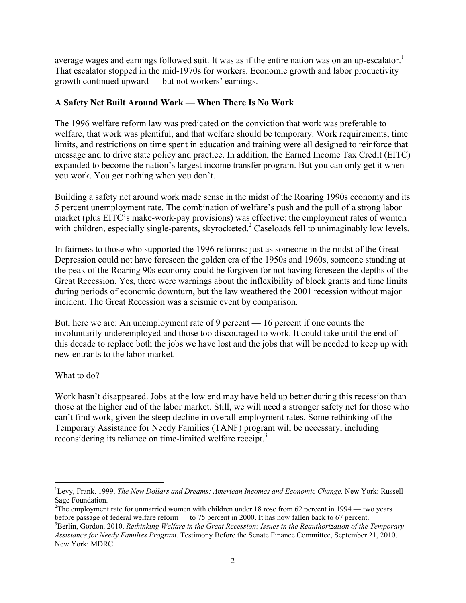average wages and earnings followed suit. It was as if the entire nation was on an up-escalator.<sup>1</sup> That escalator stopped in the mid-1970s for workers. Economic growth and labor productivity growth continued upward — but not workers' earnings.

## **A Safety Net Built Around Work — When There Is No Work**

The 1996 welfare reform law was predicated on the conviction that work was preferable to welfare, that work was plentiful, and that welfare should be temporary. Work requirements, time limits, and restrictions on time spent in education and training were all designed to reinforce that message and to drive state policy and practice. In addition, the Earned Income Tax Credit (EITC) expanded to become the nation's largest income transfer program. But you can only get it when you work. You get nothing when you don't.

Building a safety net around work made sense in the midst of the Roaring 1990s economy and its 5 percent unemployment rate. The combination of welfare's push and the pull of a strong labor market (plus EITC's make-work-pay provisions) was effective: the employment rates of women with children, especially single-parents, skyrocketed.<sup>2</sup> Caseloads fell to unimaginably low levels.

In fairness to those who supported the 1996 reforms: just as someone in the midst of the Great Depression could not have foreseen the golden era of the 1950s and 1960s, someone standing at the peak of the Roaring 90s economy could be forgiven for not having foreseen the depths of the Great Recession. Yes, there were warnings about the inflexibility of block grants and time limits during periods of economic downturn, but the law weathered the 2001 recession without major incident. The Great Recession was a seismic event by comparison.

But, here we are: An unemployment rate of 9 percent — 16 percent if one counts the involuntarily underemployed and those too discouraged to work. It could take until the end of this decade to replace both the jobs we have lost and the jobs that will be needed to keep up with new entrants to the labor market.

What to do?

 $\overline{a}$ 

Work hasn't disappeared. Jobs at the low end may have held up better during this recession than those at the higher end of the labor market. Still, we will need a stronger safety net for those who can't find work, given the steep decline in overall employment rates. Some rethinking of the Temporary Assistance for Needy Families (TANF) program will be necessary, including reconsidering its reliance on time-limited welfare receipt.<sup>3</sup>

<sup>1</sup> Levy, Frank. 1999. *The New Dollars and Dreams: American Incomes and Economic Change.* New York: Russell Sage Foundation.

<sup>&</sup>lt;sup>2</sup>The employment rate for unmarried women with children under 18 rose from 62 percent in 1994 — two years before passage of federal welfare reform — to 75 percent in 2000. It has now fallen back to 67 percent.

<sup>3</sup> Berlin, Gordon. 2010. *Rethinking Welfare in the Great Recession: Issues in the Reauthorization of the Temporary Assistance for Needy Families Program.* Testimony Before the Senate Finance Committee, September 21, 2010. New York: MDRC.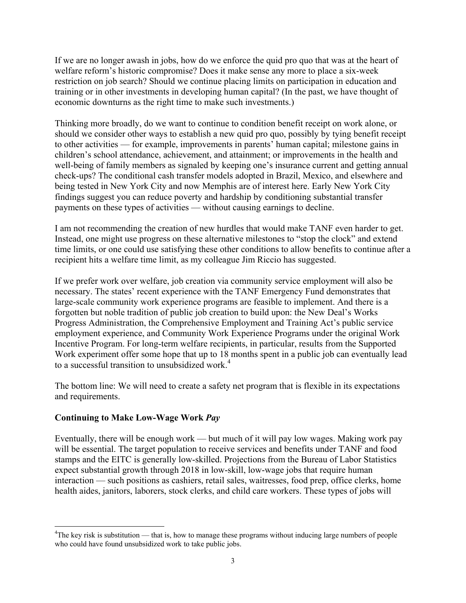If we are no longer awash in jobs, how do we enforce the quid pro quo that was at the heart of welfare reform's historic compromise? Does it make sense any more to place a six-week restriction on job search? Should we continue placing limits on participation in education and training or in other investments in developing human capital? (In the past, we have thought of economic downturns as the right time to make such investments.)

Thinking more broadly, do we want to continue to condition benefit receipt on work alone, or should we consider other ways to establish a new quid pro quo, possibly by tying benefit receipt to other activities — for example, improvements in parents' human capital; milestone gains in children's school attendance, achievement, and attainment; or improvements in the health and well-being of family members as signaled by keeping one's insurance current and getting annual check-ups? The conditional cash transfer models adopted in Brazil, Mexico, and elsewhere and being tested in New York City and now Memphis are of interest here. Early New York City findings suggest you can reduce poverty and hardship by conditioning substantial transfer payments on these types of activities — without causing earnings to decline.

I am not recommending the creation of new hurdles that would make TANF even harder to get. Instead, one might use progress on these alternative milestones to "stop the clock" and extend time limits, or one could use satisfying these other conditions to allow benefits to continue after a recipient hits a welfare time limit, as my colleague Jim Riccio has suggested.

If we prefer work over welfare, job creation via community service employment will also be necessary. The states' recent experience with the TANF Emergency Fund demonstrates that large-scale community work experience programs are feasible to implement. And there is a forgotten but noble tradition of public job creation to build upon: the New Deal's Works Progress Administration, the Comprehensive Employment and Training Act's public service employment experience, and Community Work Experience Programs under the original Work Incentive Program. For long-term welfare recipients, in particular, results from the Supported Work experiment offer some hope that up to 18 months spent in a public job can eventually lead to a successful transition to unsubsidized work.<sup>4</sup>

The bottom line: We will need to create a safety net program that is flexible in its expectations and requirements.

## **Continuing to Make Low-Wage Work** *Pay*

 $\overline{a}$ 

Eventually, there will be enough work — but much of it will pay low wages. Making work pay will be essential. The target population to receive services and benefits under TANF and food stamps and the EITC is generally low-skilled. Projections from the Bureau of Labor Statistics expect substantial growth through 2018 in low-skill, low-wage jobs that require human interaction — such positions as cashiers, retail sales, waitresses, food prep, office clerks, home health aides, janitors, laborers, stock clerks, and child care workers. These types of jobs will

<sup>&</sup>lt;sup>4</sup>The key risk is substitution — that is, how to manage these programs without inducing large numbers of people who could have found unsubsidized work to take public jobs.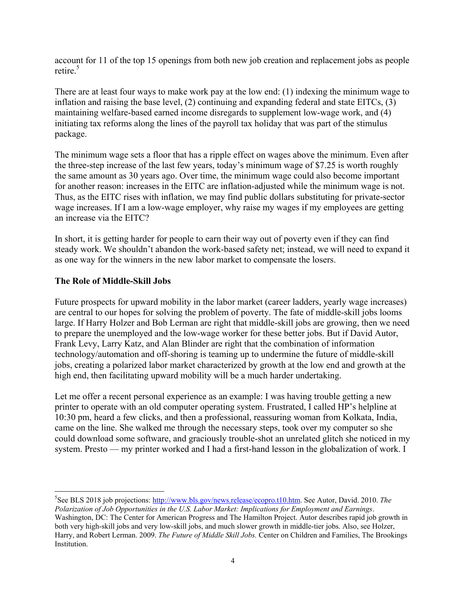account for 11 of the top 15 openings from both new job creation and replacement jobs as people retire<sup>5</sup>

There are at least four ways to make work pay at the low end: (1) indexing the minimum wage to inflation and raising the base level, (2) continuing and expanding federal and state EITCs, (3) maintaining welfare-based earned income disregards to supplement low-wage work, and (4) initiating tax reforms along the lines of the payroll tax holiday that was part of the stimulus package.

The minimum wage sets a floor that has a ripple effect on wages above the minimum. Even after the three-step increase of the last few years, today's minimum wage of \$7.25 is worth roughly the same amount as 30 years ago. Over time, the minimum wage could also become important for another reason: increases in the EITC are inflation-adjusted while the minimum wage is not. Thus, as the EITC rises with inflation, we may find public dollars substituting for private-sector wage increases. If I am a low-wage employer, why raise my wages if my employees are getting an increase via the EITC?

In short, it is getting harder for people to earn their way out of poverty even if they can find steady work. We shouldn't abandon the work-based safety net; instead, we will need to expand it as one way for the winners in the new labor market to compensate the losers.

#### **The Role of Middle-Skill Jobs**

Future prospects for upward mobility in the labor market (career ladders, yearly wage increases) are central to our hopes for solving the problem of poverty. The fate of middle-skill jobs looms large. If Harry Holzer and Bob Lerman are right that middle-skill jobs are growing, then we need to prepare the unemployed and the low-wage worker for these better jobs. But if David Autor, Frank Levy, Larry Katz, and Alan Blinder are right that the combination of information technology/automation and off-shoring is teaming up to undermine the future of middle-skill jobs, creating a polarized labor market characterized by growth at the low end and growth at the high end, then facilitating upward mobility will be a much harder undertaking.

Let me offer a recent personal experience as an example: I was having trouble getting a new printer to operate with an old computer operating system. Frustrated, I called HP's helpline at 10:30 pm, heard a few clicks, and then a professional, reassuring woman from Kolkata, India, came on the line. She walked me through the necessary steps, took over my computer so she could download some software, and graciously trouble-shot an unrelated glitch she noticed in my system. Presto — my printer worked and I had a first-hand lesson in the globalization of work. I

 $\overline{a}$ 5 See BLS 2018 job projections: http://www.bls.gov/news.release/ecopro.t10.htm. See Autor, David. 2010. *The Polarization of Job Opportunities in the U.S. Labor Market: Implications for Employment and Earnings*.

Washington, DC: The Center for American Progress and The Hamilton Project. Autor describes rapid job growth in both very high-skill jobs and very low-skill jobs, and much slower growth in middle-tier jobs. Also, see Holzer, Harry, and Robert Lerman. 2009. *The Future of Middle Skill Jobs.* Center on Children and Families, The Brookings Institution.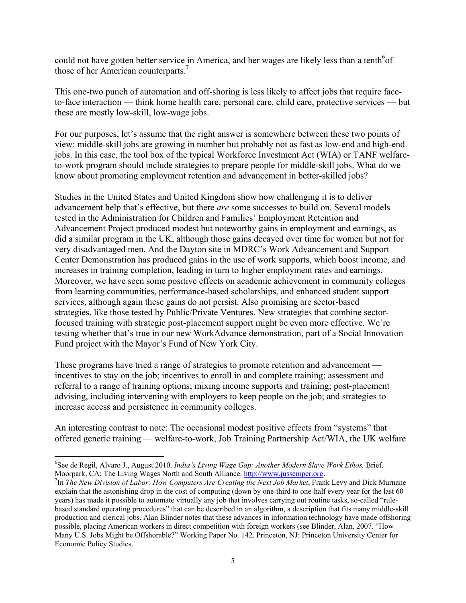could not have gotten better service in America, and her wages are likely less than a tenth<sup>6</sup>of those of her American counterparts.<sup>7</sup>

This one-two punch of automation and off-shoring is less likely to affect jobs that require faceto-face interaction — think home health care, personal care, child care, protective services — but these are mostly low-skill, low-wage jobs.

For our purposes, let's assume that the right answer is somewhere between these two points of view: middle-skill jobs are growing in number but probably not as fast as low-end and high-end jobs. In this case, the tool box of the typical Workforce Investment Act (WIA) or TANF welfareto-work program should include strategies to prepare people for middle-skill jobs. What do we know about promoting employment retention and advancement in better-skilled jobs?

Studies in the United States and United Kingdom show how challenging it is to deliver advancement help that's effective, but there *are* some successes to build on. Several models tested in the Administration for Children and Families' Employment Retention and Advancement Project produced modest but noteworthy gains in employment and earnings, as did a similar program in the UK, although those gains decayed over time for women but not for very disadvantaged men. And the Dayton site in MDRC's Work Advancement and Support Center Demonstration has produced gains in the use of work supports, which boost income, and increases in training completion, leading in turn to higher employment rates and earnings. Moreover, we have seen some positive effects on academic achievement in community colleges from learning communities, performance-based scholarships, and enhanced student support services, although again these gains do not persist. Also promising are sector-based strategies, like those tested by Public/Private Ventures. New strategies that combine sectorfocused training with strategic post-placement support might be even more effective. We're testing whether that's true in our new WorkAdvance demonstration, part of a Social Innovation Fund project with the Mayor's Fund of New York City.

These programs have tried a range of strategies to promote retention and advancement incentives to stay on the job; incentives to enroll in and complete training; assessment and referral to a range of training options; mixing income supports and training; post-placement advising, including intervening with employers to keep people on the job; and strategies to increase access and persistence in community colleges.

An interesting contrast to note: The occasional modest positive effects from "systems" that offered generic training — welfare-to-work, Job Training Partnership Act/WIA, the UK welfare

 $\overline{a}$ 

<sup>6</sup> See de Regil, Alvaro J., August 2010. *India's Living Wage Gap: Another Modern Slave Work Ethos.* Brief. Moorpark, CA: The Living Wages North and South Alliance. http://www.jussemper.org.

<sup>&</sup>lt;sup>7</sup>In *The New Division of Labor: How Computers Are Creating the Next Job Market*, Frank Levy and Dick Murnane explain that the astonishing drop in the cost of computing (down by one-third to one-half every year for the last 60 years) has made it possible to automate virtually any job that involves carrying out routine tasks, so-called "rulebased standard operating procedures" that can be described in an algorithm, a description that fits many middle-skill production and clerical jobs. Alan Blinder notes that these advances in information technology have made offshoring possible, placing American workers in direct competition with foreign workers (see Blinder, Alan. 2007. "How Many U.S. Jobs Might be Offshorable?" Working Paper No. 142. Princeton, NJ: Princeton University Center for Economic Policy Studies.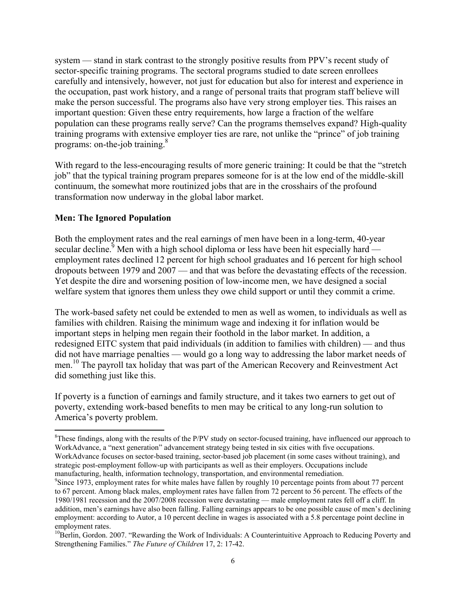system — stand in stark contrast to the strongly positive results from PPV's recent study of sector-specific training programs. The sectoral programs studied to date screen enrollees carefully and intensively, however, not just for education but also for interest and experience in the occupation, past work history, and a range of personal traits that program staff believe will make the person successful. The programs also have very strong employer ties. This raises an important question: Given these entry requirements, how large a fraction of the welfare population can these programs really serve? Can the programs themselves expand? High-quality training programs with extensive employer ties are rare, not unlike the "prince" of job training programs: on-the-job training.<sup>8</sup>

With regard to the less-encouraging results of more generic training: It could be that the "stretch job" that the typical training program prepares someone for is at the low end of the middle-skill continuum, the somewhat more routinized jobs that are in the crosshairs of the profound transformation now underway in the global labor market.

#### **Men: The Ignored Population**

1

Both the employment rates and the real earnings of men have been in a long-term, 40-year secular decline.<sup> $\frac{5}{2}$ </sup> Men with a high school diploma or less have been hit especially hard employment rates declined 12 percent for high school graduates and 16 percent for high school dropouts between 1979 and 2007 — and that was before the devastating effects of the recession. Yet despite the dire and worsening position of low-income men, we have designed a social welfare system that ignores them unless they owe child support or until they commit a crime.

The work-based safety net could be extended to men as well as women, to individuals as well as families with children. Raising the minimum wage and indexing it for inflation would be important steps in helping men regain their foothold in the labor market. In addition, a redesigned EITC system that paid individuals (in addition to families with children) — and thus did not have marriage penalties — would go a long way to addressing the labor market needs of men.10 The payroll tax holiday that was part of the American Recovery and Reinvestment Act did something just like this.

If poverty is a function of earnings and family structure, and it takes two earners to get out of poverty, extending work-based benefits to men may be critical to any long-run solution to America's poverty problem.

 ${}^{8}$ These findings, along with the results of the P/PV study on sector-focused training, have influenced our approach to WorkAdvance, a "next generation" advancement strategy being tested in six cities with five occupations. WorkAdvance focuses on sector-based training, sector-based job placement (in some cases without training), and strategic post-employment follow-up with participants as well as their employers. Occupations include manufacturing, health, information technology, transportation, and environmental remediation. 9

<sup>&</sup>lt;sup>9</sup>Since 1973, employment rates for white males have fallen by roughly 10 percentage points from about 77 percent to 67 percent. Among black males, employment rates have fallen from 72 percent to 56 percent. The effects of the 1980/1981 recession and the 2007/2008 recession were devastating — male employment rates fell off a cliff. In addition, men's earnings have also been falling. Falling earnings appears to be one possible cause of men's declining employment: according to Autor, a 10 percent decline in wages is associated with a 5.8 percentage point decline in

employment rates.<br><sup>10</sup>Berlin, Gordon. 2007. "Rewarding the Work of Individuals: A Counterintuitive Approach to Reducing Poverty and Strengthening Families." *The Future of Children* 17, 2: 17-42.